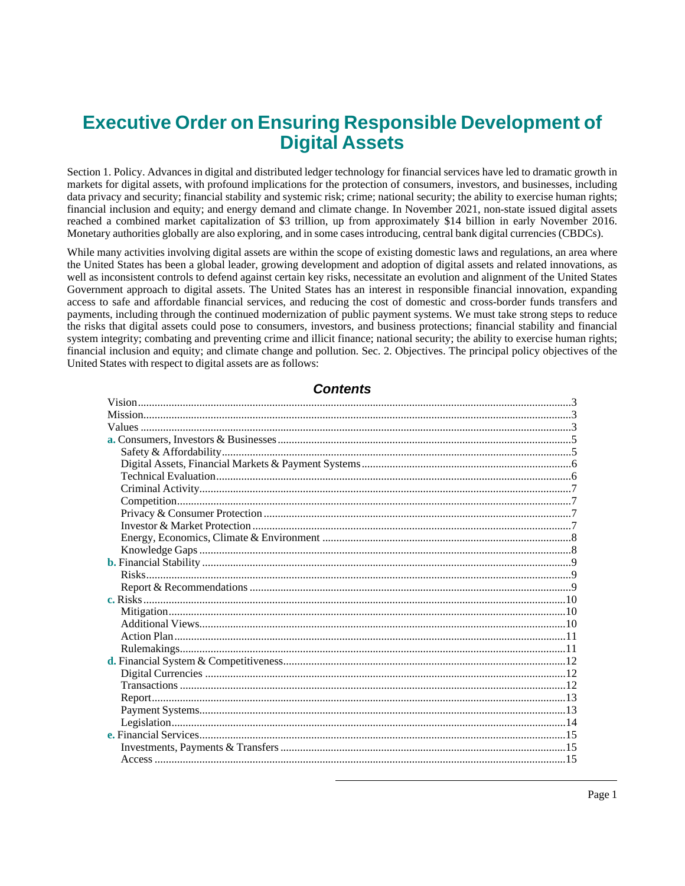# **Executive Order on Ensuring Responsible Development of Digital Assets**

Section 1. Policy. Advances in digital and distributed ledger technology for financial services have led to dramatic growth in markets for digital assets, with profound implications for the protection of consumers, investors, and businesses, including data privacy and security; financial stability and systemic risk; crime; national security; the ability to exercise human rights; financial inclusion and equity; and energy demand and climate change. In November 2021, non-state issued digital assets reached a combined market capitalization of \$3 trillion, up from approximately \$14 billion in early November 2016. Monetary authorities globally are also exploring, and in some cases introducing, central bank digital currencies (CBDCs).

While many activities involving digital assets are within the scope of existing domestic laws and regulations, an area where the United States has been a global leader, growing development and adoption of digital assets and related innovations, as well as inconsistent controls to defend against certain key risks, necessitate an evolution and alignment of the United States Government approach to digital assets. The United States has an interest in responsible financial innovation, expanding access to safe and affordable financial services, and reducing the cost of domestic and cross-border funds transfers and payments, including through the continued modernization of public payment systems. We must take strong steps to reduce the risks that digital assets could pose to consumers, investors, and business protections; financial stability and financial system integrity; combating and preventing crime and illicit finance; national security; the ability to exercise human rights; financial inclusion and equity; and climate change and pollution. Sec. 2. Objectives. The principal policy objectives of the United States with respect to digital assets are as follows:

# **Contents**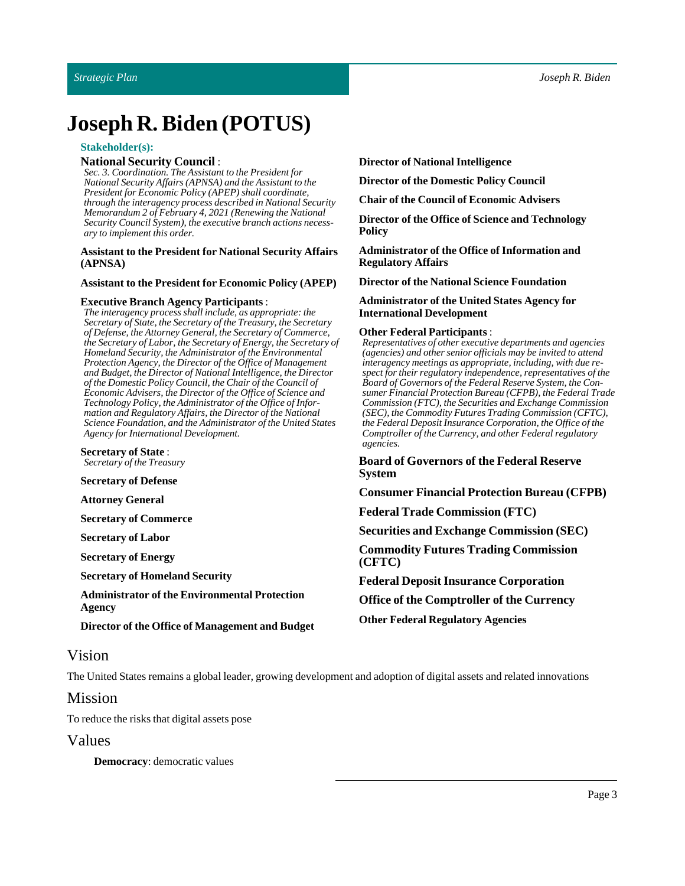# **Joseph R. Biden** (POTUS)

#### **Stakeholder(s):**

#### **National Security Council** :

*Sec. 3. Coordination. The Assistant to the President for National Security Affairs (APNSA) and the Assistant to the President for Economic Policy (APEP) shall coordinate, through the interagency process described in National Security Memorandum 2 of February 4, 2021 (Renewing the National Security Council System), the executive branch actions necessary to implement this order.*

#### **Assistant to the President for NationalSecurity Affairs (APNSA)**

#### **Assistant to the President for Economic Policy (APEP)**

#### **Executive Branch Agency Participants** :

*The interagency process shall include, as appropriate: the Secretary of State, the Secretary of the Treasury, the Secretary of Defense, the Attorney General, the Secretary of Commerce, the Secretary of Labor, the Secretary of Energy, the Secretary of Homeland Security, the Administrator of the Environmental Protection Agency, the Director of the Office of Management and Budget, the Director of National Intelligence, the Director of the Domestic Policy Council, the Chair of the Council of Economic Advisers, the Director of the Office of Science and Technology Policy, the Administrator of the Office of Information and Regulatory Affairs, the Director of the National Science Foundation, and the Administrator of the United States Agency for International Development.*

**Secretary of State:** *Secretary of the Treasury*

**Secretary of Defense**

**Attorney General**

**Secretary of Commerce**

**Secretary of Labor**

**Secretary of Energy**

**Secretary of Homeland Security** 

**Administrator of the Environmental Protection Agency**

**Director of the Office of Management and Budget**

#### **Director of National Intelligence**

**Director of the Domestic Policy Council**

**Chair of the Council of Economic Advisers**

**Director** of the Office of Science and Technology **Policy**

**Administrator of the Office of Informationand Regulatory Affairs**

**Director of the NationalScience Foundation**

**Administrator of the UnitedStates Agency for International Development**

#### **Other Federal Participants** :

*Representatives of other executive departments and agencies (agencies) and other senior officials may be invited to attend interagency meetings as appropriate, including, with due respect for their regulatory independence, representatives of the Board of Governors of the Federal Reserve System, the Consumer Financial Protection Bureau (CFPB), the Federal Trade Commission (FTC), the Securities and Exchange Commission (SEC), the Commodity Futures Trading Commission (CFTC), the Federal Deposit Insurance Corporation, the Office of the Comptroller of the Currency, and other Federal regulatory agencies.*

**Board of Governors of the Federal Reserve System**

**Consumer Financial Protection Bureau (CFPB)**

**Federal Trade Commission (FTC)**

**Securities and Exchange Commission (SEC)**

**Commodity Futures Trading Commission (CFTC)**

**Federal Deposit Insurance Corporation** 

**Office of the Comptroller of the Currency**

**Other Federal Regulatory Agencies**

# <span id="page-2-0"></span>Vision

The United States remains a global leader, growing development and adoption of digital assets and related innovations

# <span id="page-2-1"></span>Mission

To reduce the risks that digital assets pose

#### <span id="page-2-2"></span>Values

**Democracy**: democratic values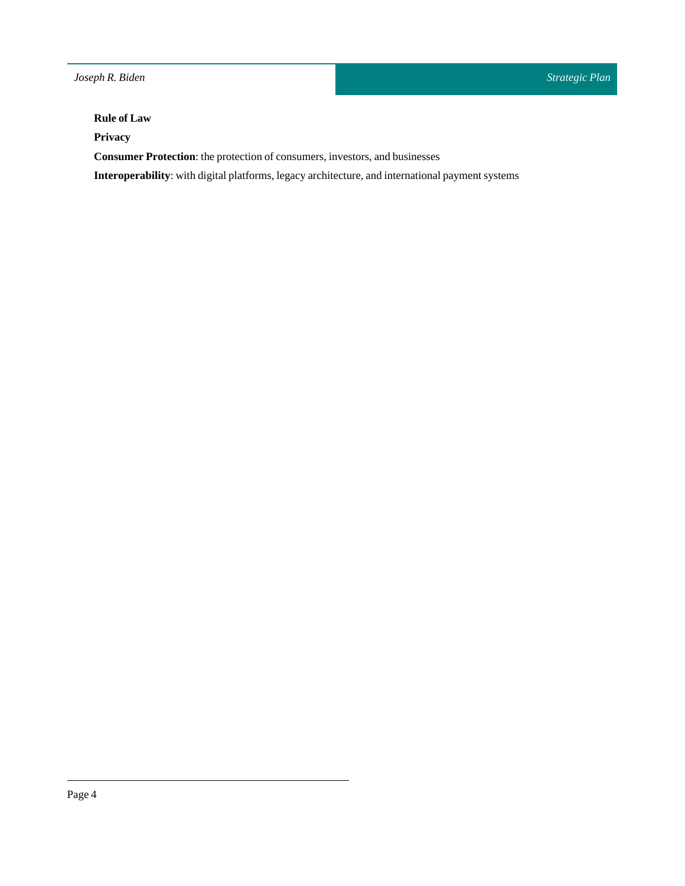# **Rule of Law**

**Privacy**

**Consumer Protection**: the protection of consumers, investors, and businesses

Interoperability: with digital platforms, legacy architecture, and international payment systems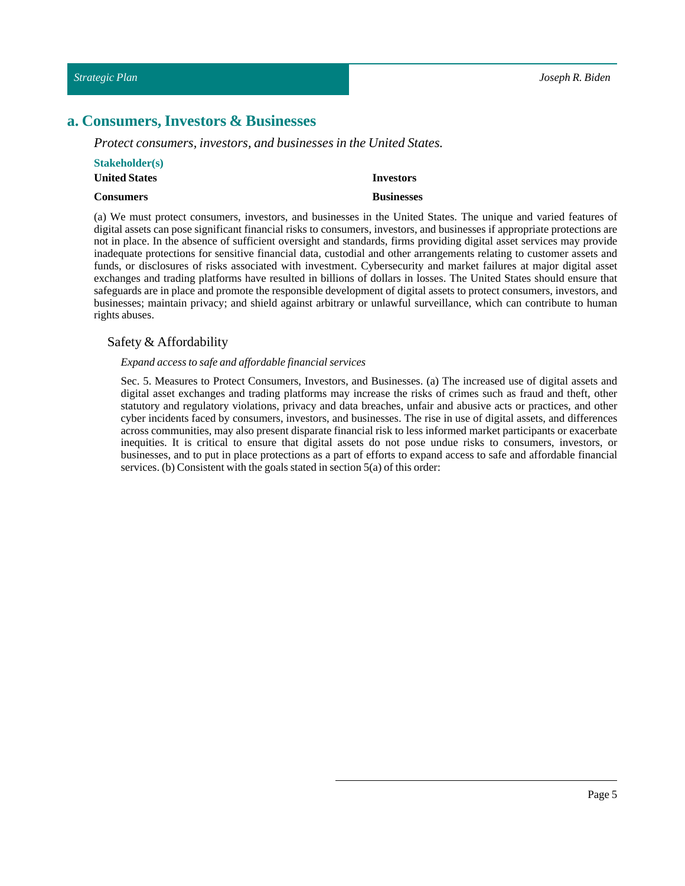# <span id="page-4-0"></span>**a. Consumers, Investors & Businesses**

*Protect consumers, investors, and businesses in the United States.*

| <b>Stakeholder(s)</b> |                   |
|-----------------------|-------------------|
| <b>United States</b>  | Investors         |
| Consumers             | <b>Businesses</b> |

(a) We must protect consumers, investors, and businesses in the United States. The unique and varied features of digital assets can pose significant financial risks to consumers, investors, and businesses if appropriate protections are not in place. In the absence of sufficient oversight and standards, firms providing digital asset services may provide inadequate protections for sensitive financial data, custodial and other arrangements relating to customer assets and funds, or disclosures of risks associated with investment. Cybersecurity and market failures at major digital asset exchanges and trading platforms have resulted in billions of dollars in losses. The United States should ensure that safeguards are in place and promote the responsible development of digital assets to protect consumers, investors, and businesses; maintain privacy; and shield against arbitrary or unlawful surveillance, which can contribute to human rights abuses.

# <span id="page-4-1"></span>Safety & Affordability

#### *Expand access to safe and affordable financial services*

Sec. 5. Measures to Protect Consumers, Investors, and Businesses. (a) The increased use of digital assets and digital asset exchanges and trading platforms may increase the risks of crimes such as fraud and theft, other statutory and regulatory violations, privacy and data breaches, unfair and abusive acts or practices, and other cyber incidents faced by consumers, investors, and businesses. The rise in use of digital assets, and differences across communities, may also present disparate financial risk to less informed market participants or exacerbate inequities. It is critical to ensure that digital assets do not pose undue risks to consumers, investors, or businesses, and to put in place protections as a part of efforts to expand access to safe and affordable financial services. (b) Consistent with the goals stated in section 5(a) of this order: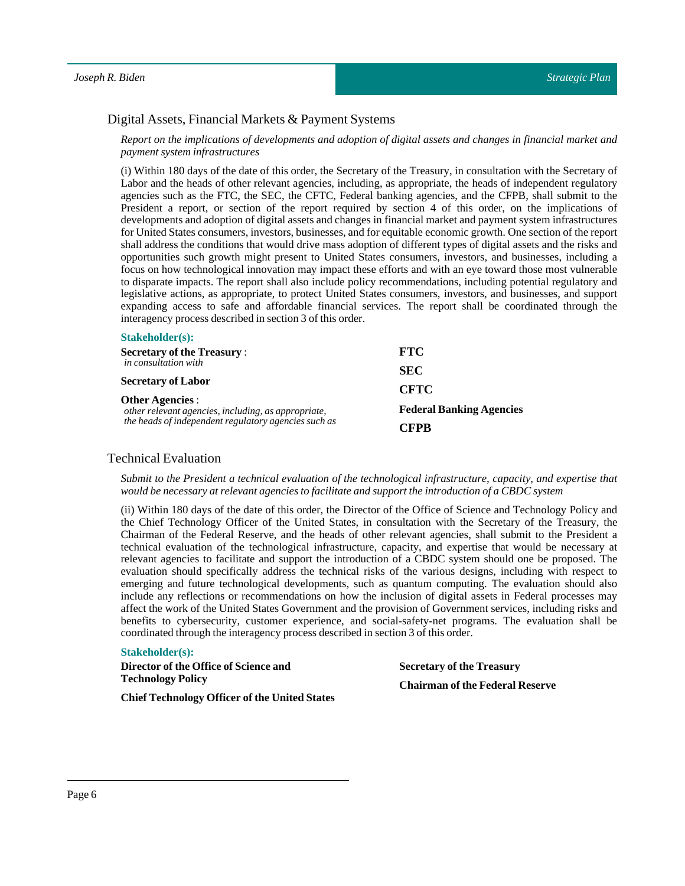# <span id="page-5-0"></span>Digital Assets, Financial Markets & Payment Systems

Report on the implications of developments and adoption of digital assets and changes in financial market and *payment system infrastructures*

(i) Within 180 days of the date of this order, the Secretary of the Treasury, in consultation with the Secretary of Labor and the heads of other relevant agencies, including, as appropriate, the heads of independent regulatory agencies such as the FTC, the SEC, the CFTC, Federal banking agencies, and the CFPB, shall submit to the President a report, or section of the report required by section 4 of this order, on the implications of developments and adoption of digital assets and changes in financial market and payment system infrastructures for United States consumers, investors, businesses, and for equitable economic growth. One section of the report shall address the conditions that would drive mass adoption of different types of digital assets and the risks and opportunities such growth might present to United States consumers, investors, and businesses, including a focus on how technological innovation may impact these efforts and with an eye toward those most vulnerable to disparate impacts. The report shall also include policy recommendations, including potential regulatory and legislative actions, as appropriate, to protect United States consumers, investors, and businesses, and support expanding access to safe and affordable financial services. The report shall be coordinated through the interagency process described in section 3 of this order.

| $\mathbf{D}$ <i>lanchonici</i> (5).                                                                                                                                |                                 |
|--------------------------------------------------------------------------------------------------------------------------------------------------------------------|---------------------------------|
| <b>Secretary of the Treasury:</b>                                                                                                                                  | <b>FTC</b>                      |
| <i>in consultation with</i>                                                                                                                                        | <b>SEC</b>                      |
| <b>Secretary of Labor</b><br><b>Other Agencies:</b><br>other relevant agencies, including, as appropriate,<br>the heads of independent regulatory agencies such as | <b>CFTC</b>                     |
|                                                                                                                                                                    | <b>Federal Banking Agencies</b> |
|                                                                                                                                                                    | CFPR                            |

### <span id="page-5-1"></span>Technical Evaluation

**Stakeholder(s):**

*Submit to the President a technical evaluation of the technological infrastructure, capacity, and expertise that would be necessary at relevant agencies to facilitate and supportthe introduction of a CBDC system*

(ii) Within 180 days of the date of this order, the Director of the Office of Science and Technology Policy and the Chief Technology Officer of the United States, in consultation with the Secretary of the Treasury, the Chairman of the Federal Reserve, and the heads of other relevant agencies, shall submit to the President a technical evaluation of the technological infrastructure, capacity, and expertise that would be necessary at relevant agencies to facilitate and support the introduction of a CBDC system should one be proposed. The evaluation should specifically address the technical risks of the various designs, including with respect to emerging and future technological developments, such as quantum computing. The evaluation should also include any reflections or recommendations on how the inclusion of digital assets in Federal processes may affect the work of the United States Government and the provision of Government services, including risks and benefits to cybersecurity, customer experience, and social–safety-net programs. The evaluation shall be coordinated through the interagency process described in section 3 of this order.

#### **Stakeholder(s):**

**Director** of the Office of Science and **Technology Policy**

**Secretary of the Treasury Chairmanof the Federal Reserve**

**Chief Technology Officer** of the United States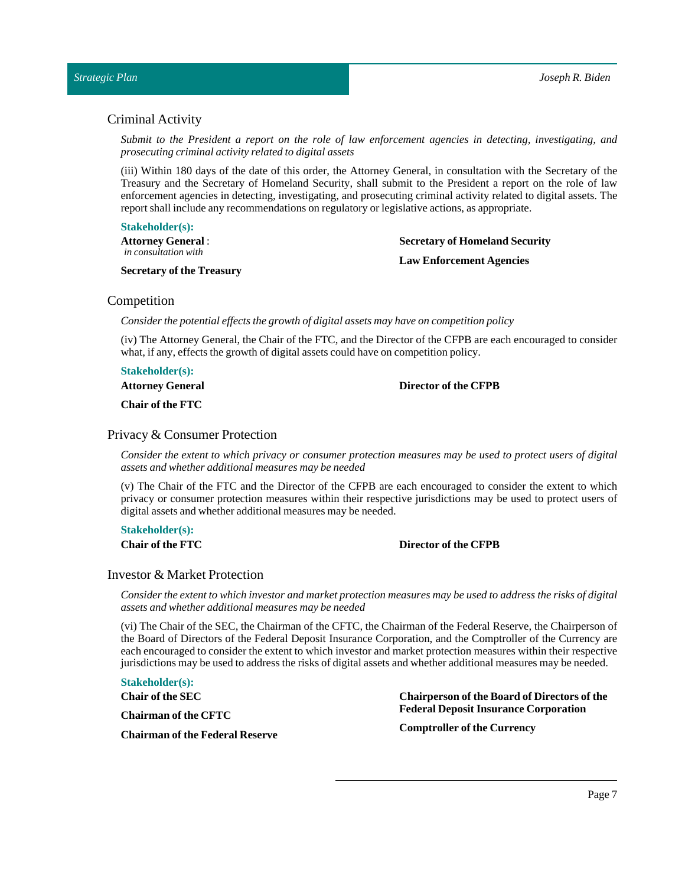# <span id="page-6-0"></span>Criminal Activity

*Submit to the President a report on the role of law enforcement agencies in detecting, investigating, and prosecuting criminal activity related to digital assets*

(iii) Within 180 days of the date of this order, the Attorney General, in consultation with the Secretary of the Treasury and the Secretary of Homeland Security, shall submit to the President a report on the role of law enforcement agencies in detecting, investigating, and prosecuting criminal activity related to digital assets. The report shall include any recommendations on regulatory or legislative actions, as appropriate.

#### **Stakeholder(s):**

**Attorney General**: *in consultation with*

#### **Secretary of the Treasury**

**Secretary of Homeland Security Law Enforcement Agencies**

# <span id="page-6-1"></span>Competition

*Consider the potential effects the growth of digital assets may have on competition policy*

(iv) The Attorney General, the Chair of the FTC, and the Director of the CFPB are each encouraged to consider what, if any, effects the growth of digital assets could have on competition policy.

**Stakeholder(s):**

**Attorney General**

**Chair of the FTC**

#### <span id="page-6-2"></span>Privacy & Consumer Protection

Consider the extent to which privacy or consumer protection measures may be used to protect users of digital *assets and whether additional measures may be needed*

(v) The Chair of the FTC and the Director of the CFPB are each encouraged to consider the extent to which privacy or consumer protection measures within their respective jurisdictions may be used to protect users of digital assets and whether additional measures may be needed.

**Stakeholder(s):**

**Chair of the FTC Director of the CFPB**

**Director of the CFPB**

# <span id="page-6-3"></span>Investor & Market Protection

Consider the extent to which investor and market protection measures may be used to address the risks of digital *assets and whether additional measures may be needed*

(vi) The Chair of the SEC, the Chairman of the CFTC, the Chairman of the Federal Reserve, the Chairperson of the Board of Directors of the Federal Deposit Insurance Corporation, and the Comptroller of the Currency are each encouraged to consider the extent to which investor and market protection measures within their respective jurisdictions may be used to address the risks of digital assets and whether additional measures may be needed.

**Stakeholder(s):**

**Chair of theSEC**

**Chairmanof the CFTC**

**Chairmanof the Federal Reserve**

**Chairpersonof the Boardof Directors of the Federal Deposit Insurance Corporation**

**Comptroller of the Currency**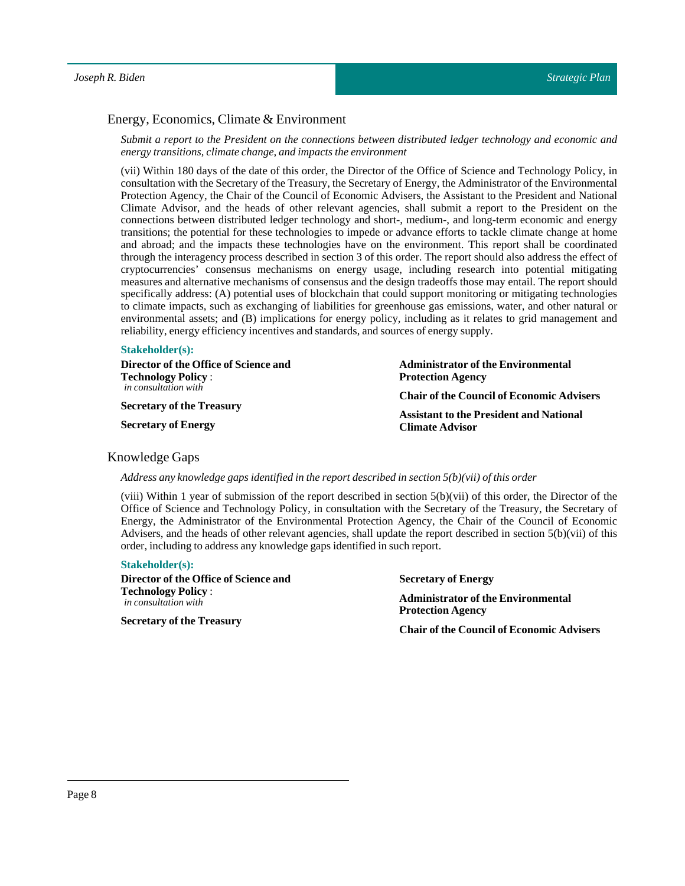# <span id="page-7-0"></span>Energy, Economics, Climate & Environment

*Submit a report to the President on the connections between distributed ledger technology and economic and energy transitions, climate change, and impacts the environment*

(vii) Within 180 days of the date of this order, the Director of the Office of Science and Technology Policy, in consultation with the Secretary of the Treasury, the Secretary of Energy, the Administrator of the Environmental Protection Agency, the Chair of the Council of Economic Advisers, the Assistant to the President and National Climate Advisor, and the heads of other relevant agencies, shall submit a report to the President on the connections between distributed ledger technology and short-, medium-, and long-term economic and energy transitions; the potential for these technologies to impede or advance efforts to tackle climate change at home and abroad; and the impacts these technologies have on the environment. This report shall be coordinated through the interagency process described in section 3 of this order. The report should also address the effect of cryptocurrencies' consensus mechanisms on energy usage, including research into potential mitigating measures and alternative mechanisms of consensus and the design tradeoffs those may entail. The report should specifically address: (A) potential uses of blockchain that could support monitoring or mitigating technologies to climate impacts, such as exchanging of liabilities for greenhouse gas emissions, water, and other natural or environmental assets; and (B) implications for energy policy, including as it relates to grid management and reliability, energy efficiency incentives and standards, and sources of energy supply.

#### **Stakeholder(s):**

| Director of the Office of Science and | <b>Administrator of the Environmental</b>        |
|---------------------------------------|--------------------------------------------------|
| <b>Technology Policy:</b>             | <b>Protection Agency</b>                         |
| <i>in consultation with</i>           | <b>Chair of the Council of Economic Advisers</b> |
| <b>Secretary of the Treasury</b>      | <b>Assistant to the President and National</b>   |
| <b>Secretary of Energy</b>            | <b>Climate Advisor</b>                           |

#### <span id="page-7-1"></span>Knowledge Gaps

*Address any knowledge gaps identified in the report described in section 5(b)(vii) ofthis order*

(viii) Within 1 year of submission of the report described in section 5(b)(vii) of this order, the Director of the Office of Science and Technology Policy, in consultation with the Secretary of the Treasury, the Secretary of Energy, the Administrator of the Environmental Protection Agency, the Chair of the Council of Economic Advisers, and the heads of other relevant agencies, shall update the report described in section 5(b)(vii) of this order, including to address any knowledge gaps identified in such report.

#### **Stakeholder(s):**

**Director** of the Office of Science and **Technology Policy** : *in consultation with*

**Secretary of the Treasury**

**Secretary of Energy Administrator of the Environmental Protection Agency**

**Chair of the Council of Economic Advisers**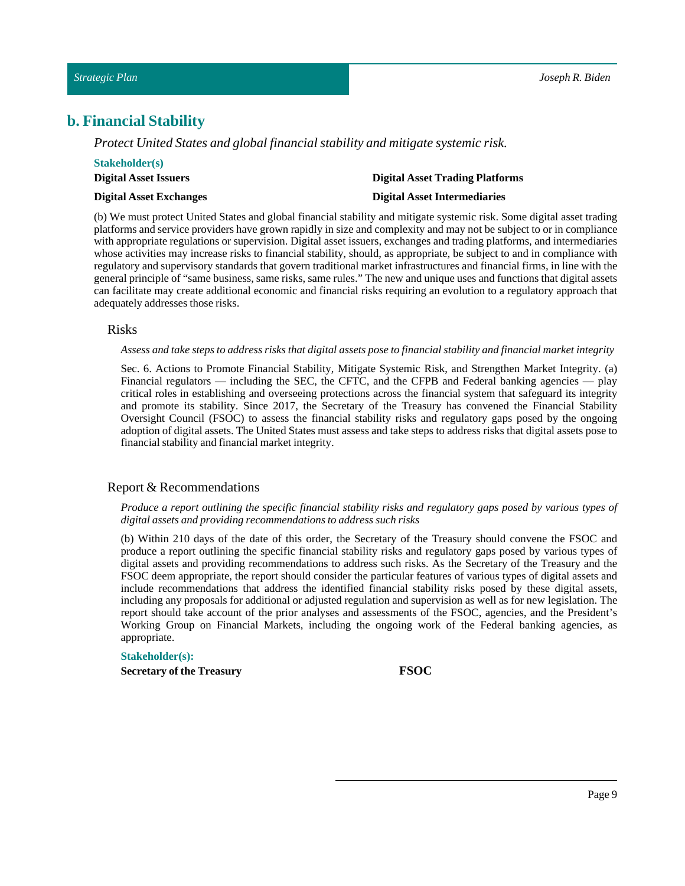# <span id="page-8-0"></span>**b. Financial Stability**

*Protect United States and global financial stability and mitigate systemic risk.*

| <b>Stakeholder(s)</b>          |                                        |
|--------------------------------|----------------------------------------|
| <b>Digital Asset Issuers</b>   | <b>Digital Asset Trading Platforms</b> |
| <b>Digital Asset Exchanges</b> | <b>Digital Asset Intermediaries</b>    |

(b) We must protect United States and global financial stability and mitigate systemic risk. Some digital asset trading platforms and service providers have grown rapidly in size and complexity and may not be subject to or in compliance with appropriate regulations or supervision. Digital asset issuers, exchanges and trading platforms, and intermediaries whose activities may increase risks to financial stability, should, as appropriate, be subject to and in compliance with regulatory and supervisory standards that govern traditional market infrastructures and financial firms, in line with the general principle of "same business, same risks, same rules." The new and unique uses and functions that digital assets can facilitate may create additional economic and financial risks requiring an evolution to a regulatory approach that adequately addresses those risks.

#### <span id="page-8-1"></span>Risks

Assess and take steps to address risks that digital assets pose to financial stability and financial market integrity

Sec. 6. Actions to Promote Financial Stability, Mitigate Systemic Risk, and Strengthen Market Integrity. (a) Financial regulators — including the SEC, the CFTC, and the CFPB and Federal banking agencies — play critical roles in establishing and overseeing protections across the financial system that safeguard its integrity and promote its stability. Since 2017, the Secretary of the Treasury has convened the Financial Stability Oversight Council (FSOC) to assess the financial stability risks and regulatory gaps posed by the ongoing adoption of digital assets. The United States must assess and take steps to address risks that digital assets pose to financial stability and financial market integrity.

# <span id="page-8-2"></span>Report & Recommendations

#### Produce a report outlining the specific financial stability risks and regulatory gaps posed by various types of *digital assets and providing recommendations to address such risks*

(b) Within 210 days of the date of this order, the Secretary of the Treasury should convene the FSOC and produce a report outlining the specific financial stability risks and regulatory gaps posed by various types of digital assets and providing recommendations to address such risks. As the Secretary of the Treasury and the FSOC deem appropriate, the report should consider the particular features of various types of digital assets and include recommendations that address the identified financial stability risks posed by these digital assets, including any proposals for additional or adjusted regulation and supervision as well as for new legislation. The report should take account of the prior analyses and assessments of the FSOC, agencies, and the President's Working Group on Financial Markets, including the ongoing work of the Federal banking agencies, as appropriate.

#### **Stakeholder(s):**

**Secretary of the Treasury FSOC**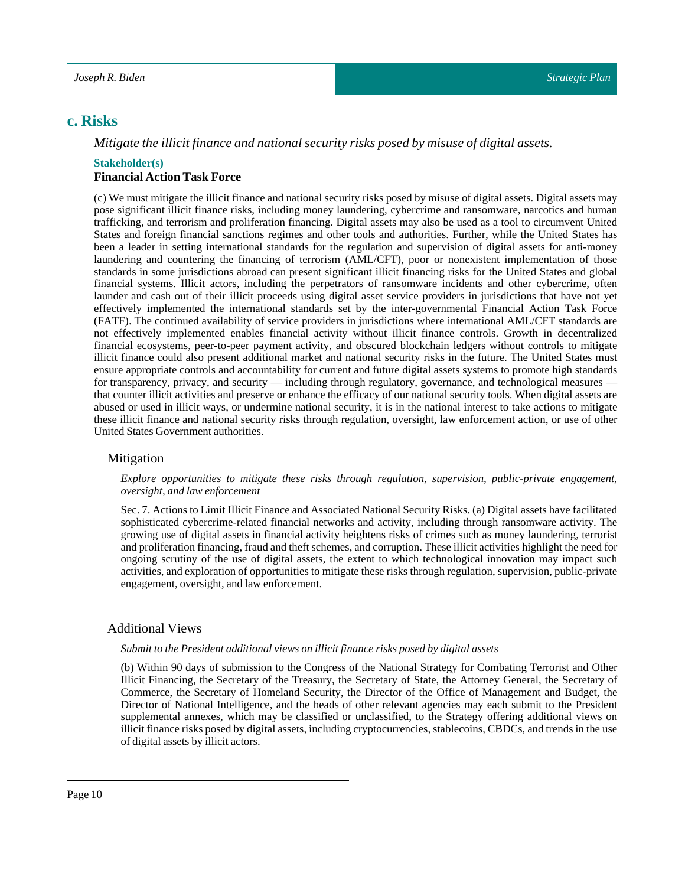# <span id="page-9-0"></span>**c. Risks**

# *Mitigate the illicit finance and national security risks posed by misuse of digital assets.*

#### **Stakeholder(s) Financial Action Task Force**

(c) We must mitigate the illicit finance and national security risks posed by misuse of digital assets. Digital assets may pose significant illicit finance risks, including money laundering, cybercrime and ransomware, narcotics and human trafficking, and terrorism and proliferation financing. Digital assets may also be used as a tool to circumvent United States and foreign financial sanctions regimes and other tools and authorities. Further, while the United States has been a leader in setting international standards for the regulation and supervision of digital assets for anti-money laundering and countering the financing of terrorism (AML/CFT), poor or nonexistent implementation of those standards in some jurisdictions abroad can present significant illicit financing risks for the United States and global financial systems. Illicit actors, including the perpetrators of ransomware incidents and other cybercrime, often launder and cash out of their illicit proceeds using digital asset service providers in jurisdictions that have not yet effectively implemented the international standards set by the inter-governmental Financial Action Task Force (FATF). The continued availability of service providers in jurisdictions where international AML/CFT standards are not effectively implemented enables financial activity without illicit finance controls. Growth in decentralized financial ecosystems, peer-to-peer payment activity, and obscured blockchain ledgers without controls to mitigate illicit finance could also present additional market and national security risks in the future. The United States must ensure appropriate controls and accountability for current and future digital assets systems to promote high standards for transparency, privacy, and security — including through regulatory, governance, and technological measures that counter illicit activities and preserve or enhance the efficacy of our national security tools. When digital assets are abused or used in illicit ways, or undermine national security, it is in the national interest to take actions to mitigate these illicit finance and national security risks through regulation, oversight, law enforcement action, or use of other United States Government authorities.

# <span id="page-9-1"></span>Mitigation

#### *Explore opportunities to mitigate these risks through regulation, supervision, public‑private engagement, oversight, and law enforcement*

Sec. 7. Actions to Limit Illicit Finance and Associated National Security Risks. (a) Digital assets have facilitated sophisticated cybercrime–related financial networks and activity, including through ransomware activity. The growing use of digital assets in financial activity heightens risks of crimes such as money laundering, terrorist and proliferation financing, fraud and theft schemes, and corruption. These illicit activities highlight the need for ongoing scrutiny of the use of digital assets, the extent to which technological innovation may impact such activities, and exploration of opportunities to mitigate these risks through regulation, supervision, public‑private engagement, oversight, and law enforcement.

# <span id="page-9-2"></span>Additional Views

#### *Submitto the President additional views on illicitfinance risks posed by digital assets*

(b) Within 90 days of submission to the Congress of the National Strategy for Combating Terrorist and Other Illicit Financing, the Secretary of the Treasury, the Secretary of State, the Attorney General, the Secretary of Commerce, the Secretary of Homeland Security, the Director of the Office of Management and Budget, the Director of National Intelligence, and the heads of other relevant agencies may each submit to the President supplemental annexes, which may be classified or unclassified, to the Strategy offering additional views on illicit finance risks posed by digital assets, including cryptocurrencies, stablecoins, CBDCs, and trends in the use of digital assets by illicit actors.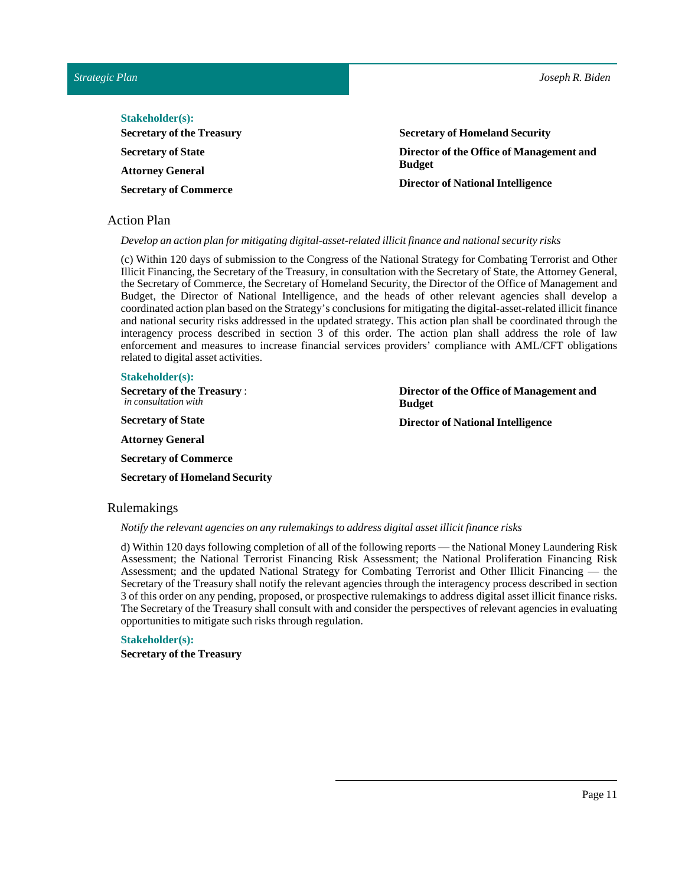**Director of the Office of Management and**

**Director of National Intelligence**

| <b>Stakeholder(s):</b>           |                                          |
|----------------------------------|------------------------------------------|
| <b>Secretary of the Treasury</b> | <b>Secretary of Homeland Security</b>    |
| <b>Secretary of State</b>        | Director of the Office of Management and |
| <b>Attorney General</b>          | <b>Budget</b>                            |
| <b>Secretary of Commerce</b>     | <b>Director of National Intelligence</b> |

### <span id="page-10-0"></span>Action Plan

*Develop an action plan for mitigating digital‑asset-related illicitfinance and national security risks*

(c) Within 120 days of submission to the Congress of the National Strategy for Combating Terrorist and Other Illicit Financing, the Secretary of the Treasury, in consultation with the Secretary of State, the Attorney General, the Secretary of Commerce, the Secretary of Homeland Security, the Director of the Office of Management and Budget, the Director of National Intelligence, and the heads of other relevant agencies shall develop a coordinated action plan based on the Strategy's conclusions for mitigating the digital‑asset-related illicit finance and national security risks addressed in the updated strategy. This action plan shall be coordinated through the interagency process described in section 3 of this order. The action plan shall address the role of law enforcement and measures to increase financial services providers' compliance with AML/CFT obligations related to digital asset activities.

**Budget**

#### **Stakeholder(s):**

**Secretary of the Treasury** : *in consultation with*

**Secretary** of State

**Attorney General**

**Secretary of Commerce**

**Secretary of Homeland Security** 

#### <span id="page-10-1"></span>Rulemakings

#### *Notify the relevant agencies on any rulemakings to address digital assetillicitfinance risks*

d) Within 120 days following completion of all of the following reports — the National Money Laundering Risk Assessment; the National Terrorist Financing Risk Assessment; the National Proliferation Financing Risk Assessment; and the updated National Strategy for Combating Terrorist and Other Illicit Financing — the Secretary of the Treasury shall notify the relevant agencies through the interagency process described in section 3 of this order on any pending, proposed, or prospective rulemakings to address digital asset illicit finance risks. The Secretary of the Treasury shall consult with and consider the perspectives of relevant agencies in evaluating opportunities to mitigate such risks through regulation.

# **Stakeholder(s):**

**Secretary of the Treasury**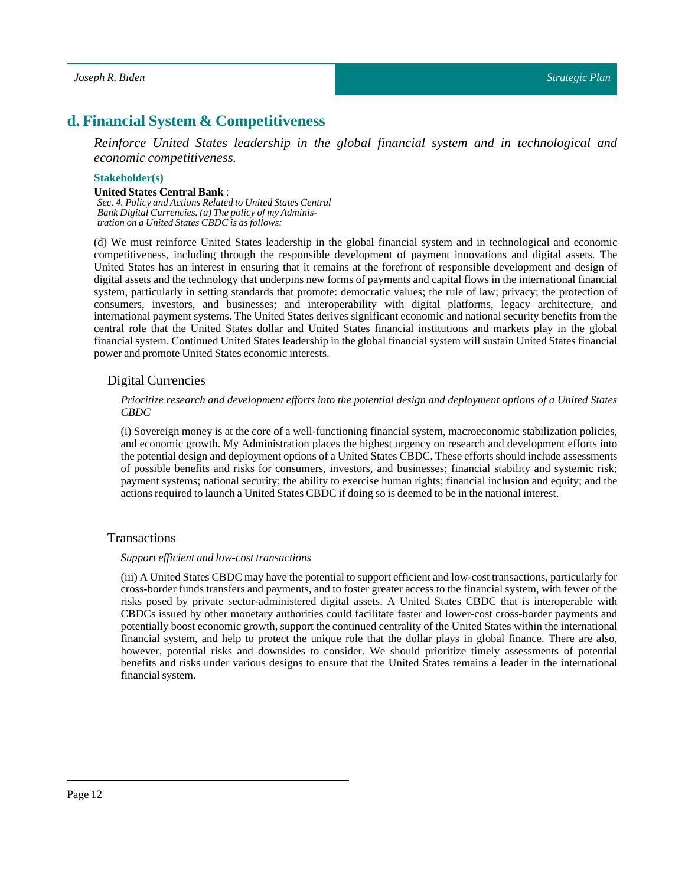# <span id="page-11-0"></span>**d. Financial System & Competitiveness**

*Reinforce United States leadership in the global financial system and in technological and economic competitiveness.*

#### **Stakeholder(s)**

#### **UnitedStates Central Bank**:

*Sec. 4. Policy and Actions Related to United States Central Bank Digital Currencies. (a) The policy of my Administration on a United States CBDC is as follows:*

(d) We must reinforce United States leadership in the global financial system and in technological and economic competitiveness, including through the responsible development of payment innovations and digital assets. The United States has an interest in ensuring that it remains at the forefront of responsible development and design of digital assets and the technology that underpins new forms of payments and capital flows in the international financial system, particularly in setting standards that promote: democratic values; the rule of law; privacy; the protection of consumers, investors, and businesses; and interoperability with digital platforms, legacy architecture, and international payment systems. The United States derives significant economic and national security benefits from the central role that the United States dollar and United States financial institutions and markets play in the global financial system. Continued United States leadership in the global financial system will sustain United States financial power and promote United States economic interests.

#### <span id="page-11-1"></span>Digital Currencies

#### *Prioritize research and development efforts into the potential design and deployment options of a United States CBDC*

(i) Sovereign money is at the core of a well-functioning financial system, macroeconomic stabilization policies, and economic growth. My Administration places the highest urgency on research and development efforts into the potential design and deployment options of a United States CBDC. These efforts should include assessments of possible benefits and risks for consumers, investors, and businesses; financial stability and systemic risk; payment systems; national security; the ability to exercise human rights; financial inclusion and equity; and the actions required to launch a United States CBDC if doing so is deemed to be in the national interest.

#### <span id="page-11-2"></span>Transactions

#### *Support efficient and low-costtransactions*

(iii) A United States CBDC may have the potential to support efficient and low-cost transactions, particularly for cross‑border funds transfers and payments, and to foster greater access to the financial system, with fewer of the risks posed by private sector-administered digital assets. A United States CBDC that is interoperable with CBDCs issued by other monetary authorities could facilitate faster and lower-cost cross-border payments and potentially boost economic growth, support the continued centrality of the United States within the international financial system, and help to protect the unique role that the dollar plays in global finance. There are also, however, potential risks and downsides to consider. We should prioritize timely assessments of potential benefits and risks under various designs to ensure that the United States remains a leader in the international financial system.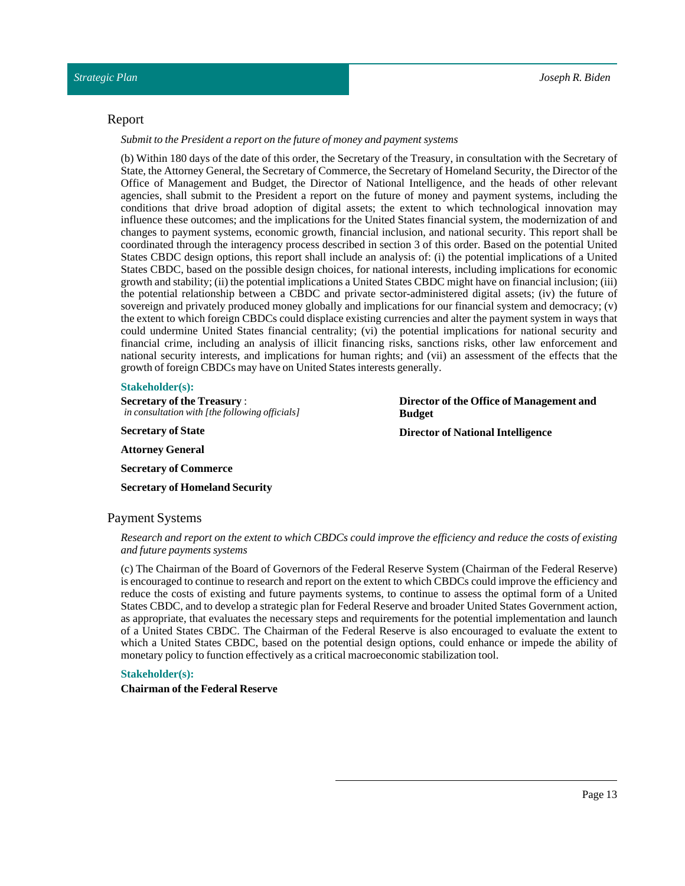#### <span id="page-12-0"></span>Report

*Submitto the President a report on the future of money and payment systems*

(b) Within 180 days of the date of this order, the Secretary of the Treasury, in consultation with the Secretary of State, the Attorney General, the Secretary of Commerce, the Secretary of Homeland Security, the Director of the Office of Management and Budget, the Director of National Intelligence, and the heads of other relevant agencies, shall submit to the President a report on the future of money and payment systems, including the conditions that drive broad adoption of digital assets; the extent to which technological innovation may influence these outcomes; and the implications for the United States financial system, the modernization of and changes to payment systems, economic growth, financial inclusion, and national security. This report shall be coordinated through the interagency process described in section 3 of this order. Based on the potential United States CBDC design options, this report shall include an analysis of: (i) the potential implications of a United States CBDC, based on the possible design choices, for national interests, including implications for economic growth and stability; (ii) the potentialimplications a United States CBDC might have on financial inclusion; (iii) the potential relationship between a CBDC and private sector-administered digital assets; (iv) the future of sovereign and privately produced money globally and implications for our financial system and democracy; (v) the extent to which foreign CBDCs could displace existing currencies and alter the payment system in ways that could undermine United States financial centrality; (vi) the potential implications for national security and financial crime, including an analysis of illicit financing risks, sanctions risks, other law enforcement and national security interests, and implications for human rights; and (vii) an assessment of the effects that the growth of foreign CBDCs may have on United States interests generally.

#### **Stakeholder(s):**

**Secretary of the Treasury** : *in consultation with [the following officials]*

**Secretary** of State

**Attorney General**

**Secretary of Commerce Secretary of Homeland Security**  **Director of the Office of Management and Budget**

**Director of National Intelligence**

# <span id="page-12-1"></span>Payment Systems

Research and report on the extent to which CBDCs could improve the efficiency and reduce the costs of existing *and future payments systems*

(c) The Chairman of the Board of Governors of the Federal Reserve System (Chairman of the Federal Reserve) is encouraged to continue to research and report on the extent to which CBDCs could improve the efficiency and reduce the costs of existing and future payments systems, to continue to assess the optimal form of a United States CBDC, and to develop a strategic plan for Federal Reserve and broader United States Government action, as appropriate, that evaluates the necessary steps and requirements for the potential implementation and launch of a United States CBDC. The Chairman of the Federal Reserve is also encouraged to evaluate the extent to which a United States CBDC, based on the potential design options, could enhance or impede the ability of monetary policy to function effectively as a critical macroeconomic stabilization tool.

#### **Stakeholder(s):**

**Chairmanof the Federal Reserve**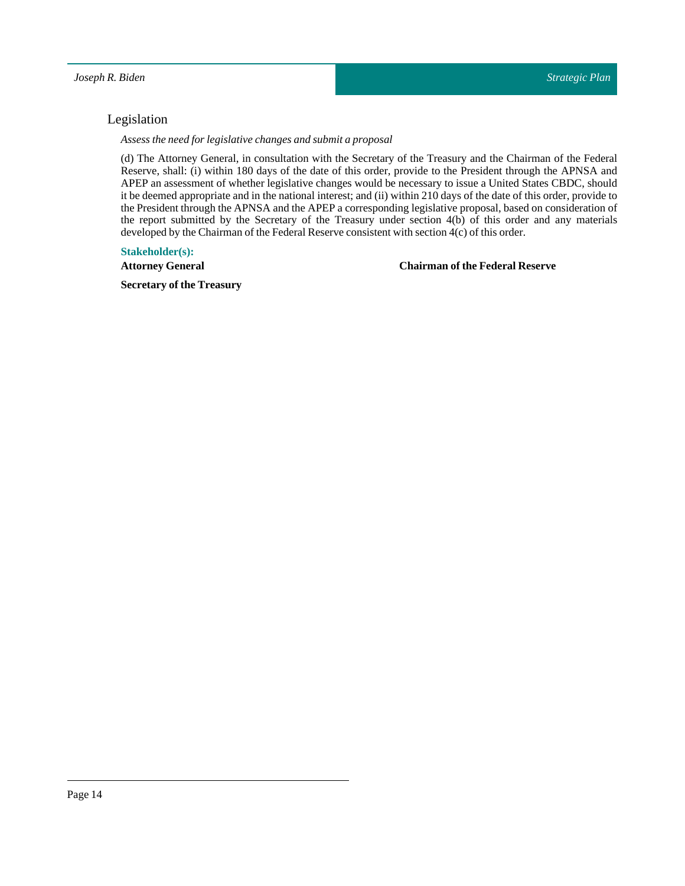# <span id="page-13-0"></span>Legislation

*Assess the need for legislative changes and submit a proposal*

(d) The Attorney General, in consultation with the Secretary of the Treasury and the Chairman of the Federal Reserve, shall: (i) within 180 days of the date of this order, provide to the President through the APNSA and APEP an assessment of whether legislative changes would be necessary to issue a United States CBDC, should it be deemed appropriate and in the national interest; and (ii) within 210 days of the date of this order, provide to the President through the APNSA and the APEP a corresponding legislative proposal, based on consideration of the report submitted by the Secretary of the Treasury under section 4(b) of this order and any materials developed by the Chairman of the Federal Reserve consistent with section  $4(c)$  of this order.

### **Stakeholder(s):**

**Attorney General**

# **Chairmanof the Federal Reserve**

**Secretary of the Treasury**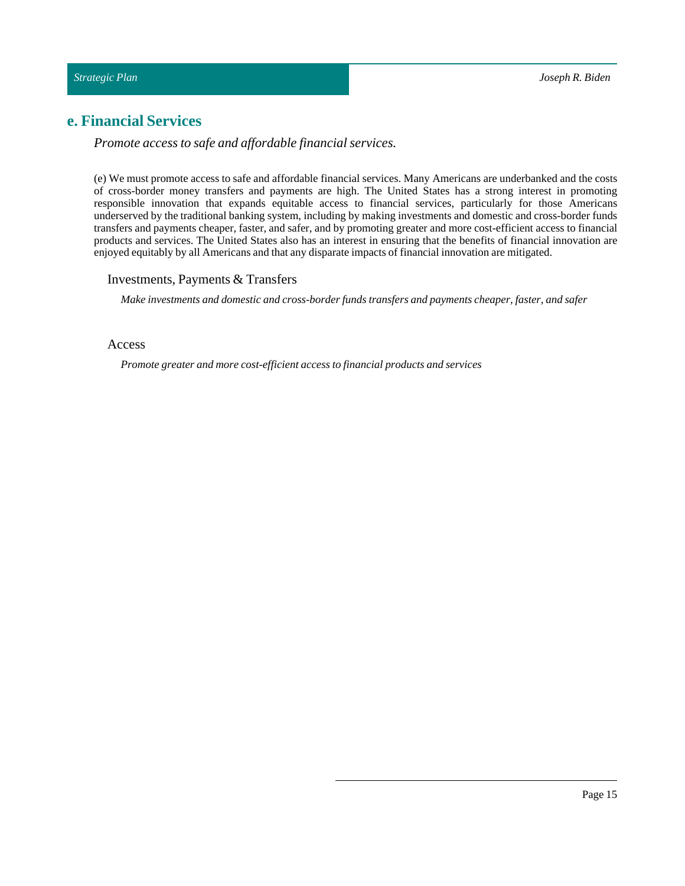# <span id="page-14-0"></span>**e. Financial Services**

*Promote access to safe and affordable financial services.*

(e) We must promote access to safe and affordable financial services. Many Americans are underbanked and the costs of cross-border money transfers and payments are high. The United States has a strong interest in promoting responsible innovation that expands equitable access to financial services, particularly for those Americans underserved by the traditional banking system, including by making investments and domestic and cross-border funds transfers and payments cheaper, faster, and safer, and by promoting greater and more cost-efficient access to financial products and services. The United States also has an interest in ensuring that the benefits of financial innovation are enjoyed equitably by all Americans and that any disparate impacts of financial innovation are mitigated.

### <span id="page-14-1"></span>Investments, Payments & Transfers

*Make investments and domestic and cross-border funds transfers and payments cheaper,faster, and safer*

# <span id="page-14-2"></span>Access

*Promote greater and more cost-efficient access to financial products and services*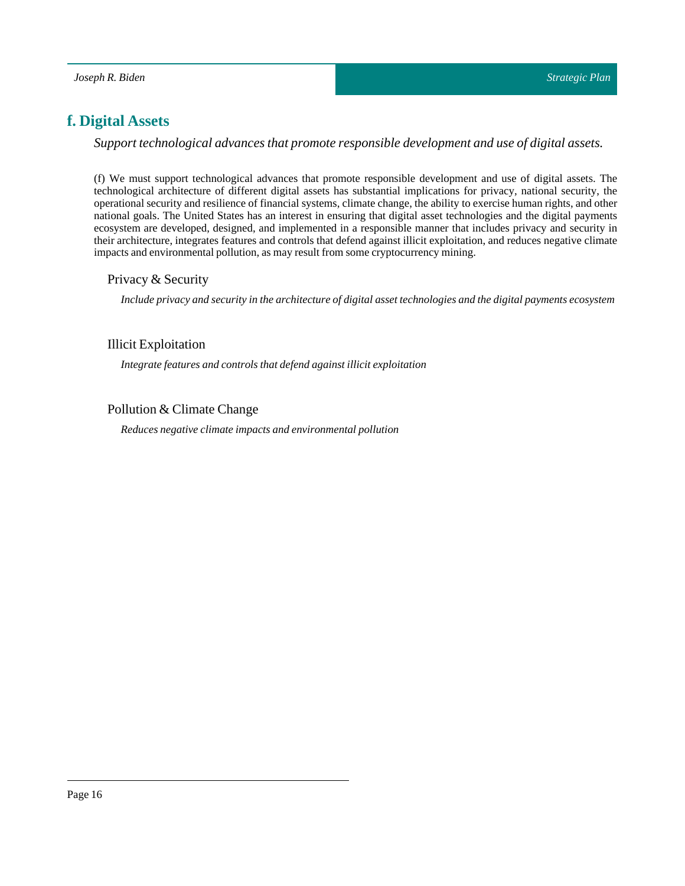# <span id="page-15-0"></span>**f. Digital Assets**

*Support technological advances that promote responsible development and use of digital assets.*

(f) We must support technological advances that promote responsible development and use of digital assets. The technological architecture of different digital assets has substantial implications for privacy, national security, the operational security and resilience of financial systems, climate change, the ability to exercise human rights, and other national goals. The United States has an interest in ensuring that digital asset technologies and the digital payments ecosystem are developed, designed, and implemented in a responsible manner that includes privacy and security in their architecture, integrates features and controls that defend against illicit exploitation, and reduces negative climate impacts and environmental pollution, as may result from some cryptocurrency mining.

# <span id="page-15-1"></span>Privacy & Security

*Include privacy and security in the architecture of digital assettechnologies and the digital payments ecosystem*

# <span id="page-15-2"></span>Illicit Exploitation

*Integrate features and controls that defend againstillicit exploitation*

# <span id="page-15-3"></span>Pollution & Climate Change

*Reduces negative climate impacts and environmental pollution*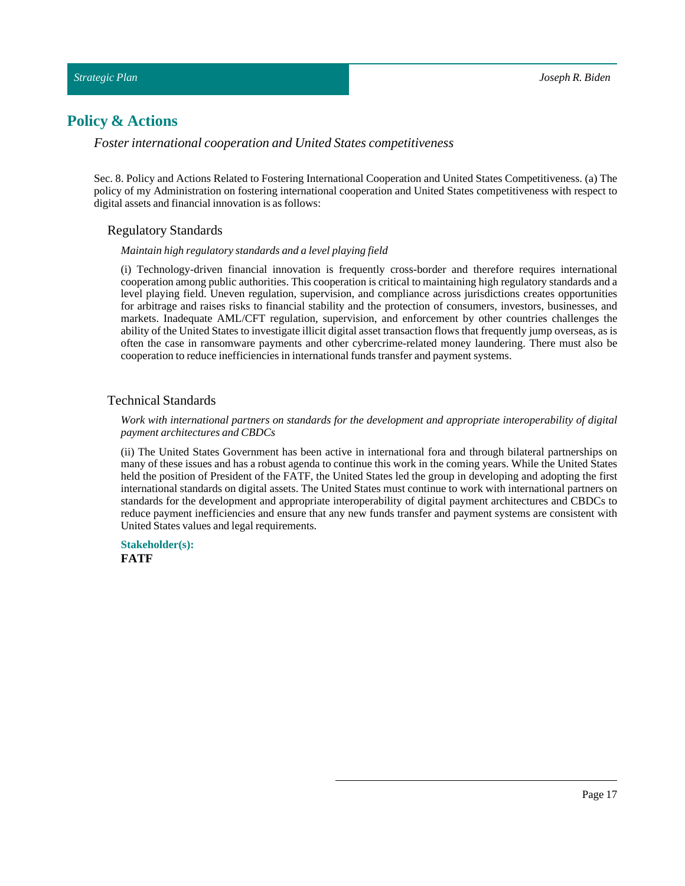# <span id="page-16-0"></span>**Policy & Actions**

*Foster international cooperation and United States competitiveness*

<span id="page-16-1"></span>Sec. 8. Policy and Actions Related to Fostering International Cooperation and United States Competitiveness. (a) The policy of my Administration on fostering international cooperation and United States competitiveness with respect to digital assets and financial innovation is as follows:

#### Regulatory Standards

#### *Maintain high regulatory standards and a level playing field*

(i) Technology-driven financial innovation is frequently cross-border and therefore requires international cooperation among public authorities. This cooperation is critical to maintaining high regulatory standards and a level playing field. Uneven regulation, supervision, and compliance across jurisdictions creates opportunities for arbitrage and raises risks to financial stability and the protection of consumers, investors, businesses, and markets. Inadequate AML/CFT regulation, supervision, and enforcement by other countries challenges the ability of the United States to investigate illicit digital asset transaction flows that frequently jump overseas, as is often the case in ransomware payments and other cybercrime-related money laundering. There must also be cooperation to reduce inefficiencies in international funds transfer and payment systems.

# <span id="page-16-2"></span>Technical Standards

#### *Work with international partners on standards for the development and appropriate interoperability of digital payment architectures and CBDCs*

(ii) The United States Government has been active in international fora and through bilateral partnerships on many of these issues and has a robust agenda to continue this work in the coming years. While the United States held the position of President of the FATF, the United States led the group in developing and adopting the first international standards on digital assets. The United States must continue to work with international partners on standards for the development and appropriate interoperability of digital payment architectures and CBDCs to reduce payment inefficiencies and ensure that any new funds transfer and payment systems are consistent with United States values and legal requirements.

**Stakeholder(s): FATF**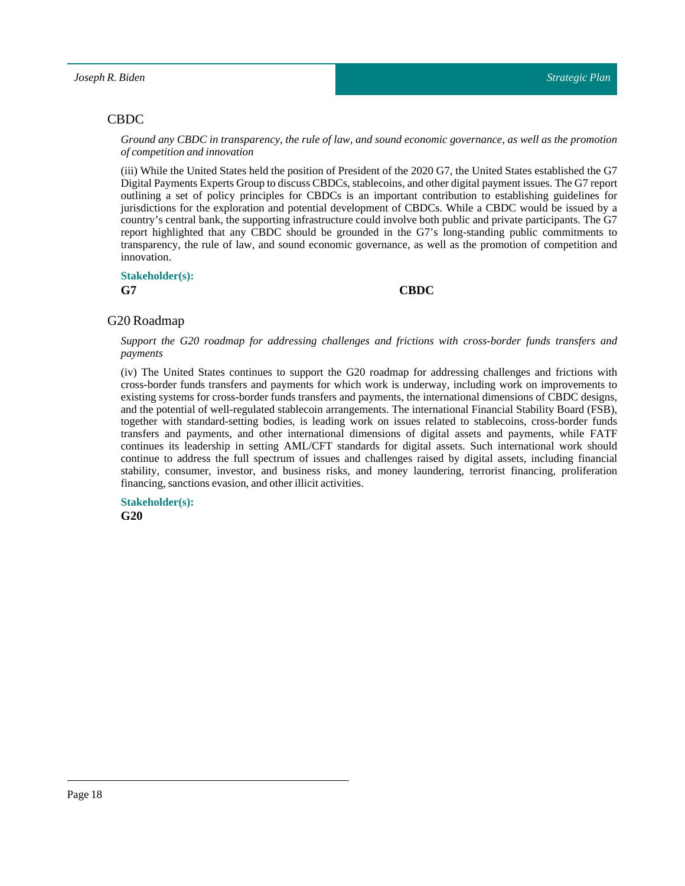# <span id="page-17-0"></span>CBDC

Ground any CBDC in transparency, the rule of law, and sound economic governance, as well as the promotion *of competition and innovation*

(iii) While the United States held the position of President of the 2020 G7, the United States established the G7 Digital Payments Experts Group to discuss CBDCs, stablecoins, and other digital payment issues. The G7 report outlining a set of policy principles for CBDCs is an important contribution to establishing guidelines for jurisdictions for the exploration and potential development of CBDCs. While a CBDC would be issued by a country's central bank, the supporting infrastructure could involve both public and private participants. The G7 report highlighted that any CBDC should be grounded in the G7's long-standing public commitments to transparency, the rule of law, and sound economic governance, as well as the promotion of competition and innovation.

# **Stakeholder(s):**

#### **G7 CBDC**

# <span id="page-17-1"></span>G20 Roadmap

*Support the G20 roadmap for addressing challenges and frictions with cross-border funds transfers and payments*

(iv) The United States continues to support the G20 roadmap for addressing challenges and frictions with cross-border funds transfers and payments for which work is underway, including work on improvements to existing systems for cross-border funds transfers and payments, the international dimensions of CBDC designs, and the potential of well-regulated stablecoin arrangements. The international Financial Stability Board (FSB), together with standard-setting bodies, is leading work on issues related to stablecoins, cross‑border funds transfers and payments, and other international dimensions of digital assets and payments, while FATF continues its leadership in setting AML/CFT standards for digital assets. Such international work should continue to address the full spectrum of issues and challenges raised by digital assets, including financial stability, consumer, investor, and business risks, and money laundering, terrorist financing, proliferation financing, sanctions evasion, and other illicit activities.

**Stakeholder(s): G20**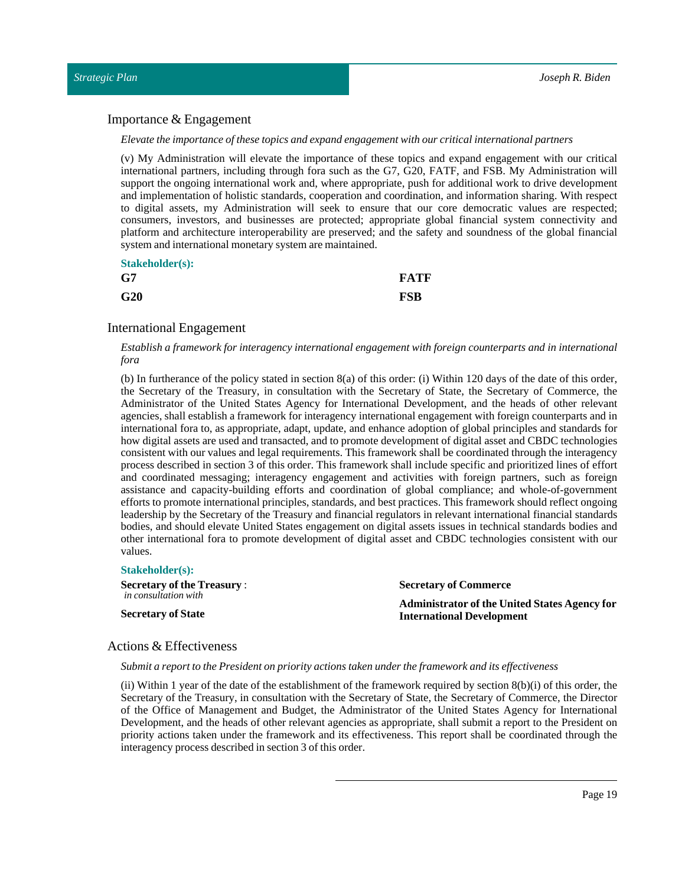#### <span id="page-18-0"></span>Importance & Engagement

#### *Elevate the importance ofthese topics and expand engagement with our criticalinternational partners*

(v) My Administration will elevate the importance of these topics and expand engagement with our critical international partners, including through fora such as the G7, G20, FATF, and FSB. My Administration will support the ongoing international work and, where appropriate, push for additional work to drive development and implementation of holistic standards, cooperation and coordination, and information sharing. With respect to digital assets, my Administration will seek to ensure that our core democratic values are respected; consumers, investors, and businesses are protected; appropriate global financial system connectivity and platform and architecture interoperability are preserved; and the safety and soundness of the global financial system and international monetary system are maintained.

| <b>Stakeholder(s):</b> |             |
|------------------------|-------------|
| G7                     | <b>FATF</b> |
| G20                    | FSB         |

#### <span id="page-18-1"></span>International Engagement

#### *Establish a framework for interagency international engagement with foreign counterparts and in international fora*

(b) In furtherance of the policy stated in section 8(a) of this order: (i) Within 120 days of the date of this order, the Secretary of the Treasury, in consultation with the Secretary of State, the Secretary of Commerce, the Administrator of the United States Agency for International Development, and the heads of other relevant agencies, shall establish a framework for interagency international engagement with foreign counterparts and in international fora to, as appropriate, adapt, update, and enhance adoption of global principles and standards for how digital assets are used and transacted, and to promote development of digital asset and CBDC technologies consistent with our values and legal requirements. This framework shall be coordinated through the interagency process described in section 3 of this order. This framework shall include specific and prioritized lines of effort and coordinated messaging; interagency engagement and activities with foreign partners, such as foreign assistance and capacity-building efforts and coordination of global compliance; and whole‑of‑government efforts to promote international principles, standards, and best practices. This framework should reflect ongoing leadership by the Secretary of the Treasury and financial regulators in relevant international financial standards bodies, and should elevate United States engagement on digital assets issues in technical standards bodies and other international fora to promote development of digital asset and CBDC technologies consistent with our values.

| <b>Stakeholder(s):</b>            |                                                      |
|-----------------------------------|------------------------------------------------------|
| <b>Secretary of the Treasury:</b> | <b>Secretary of Commerce</b>                         |
| in consultation with              | <b>Administrator of the United States Agency for</b> |
| <b>Secretary of State</b>         | <b>International Development</b>                     |

### <span id="page-18-2"></span>Actions & Effectiveness

#### *Submit a reportto the President on priority actions taken under the framework and its effectiveness*

(ii) Within 1 year of the date of the establishment of the framework required by section  $8(b)(i)$  of this order, the Secretary of the Treasury, in consultation with the Secretary of State, the Secretary of Commerce, the Director of the Office of Management and Budget, the Administrator of the United States Agency for International Development, and the heads of other relevant agencies as appropriate, shall submit a report to the President on priority actions taken under the framework and its effectiveness. This report shall be coordinated through the interagency process described in section 3 of this order.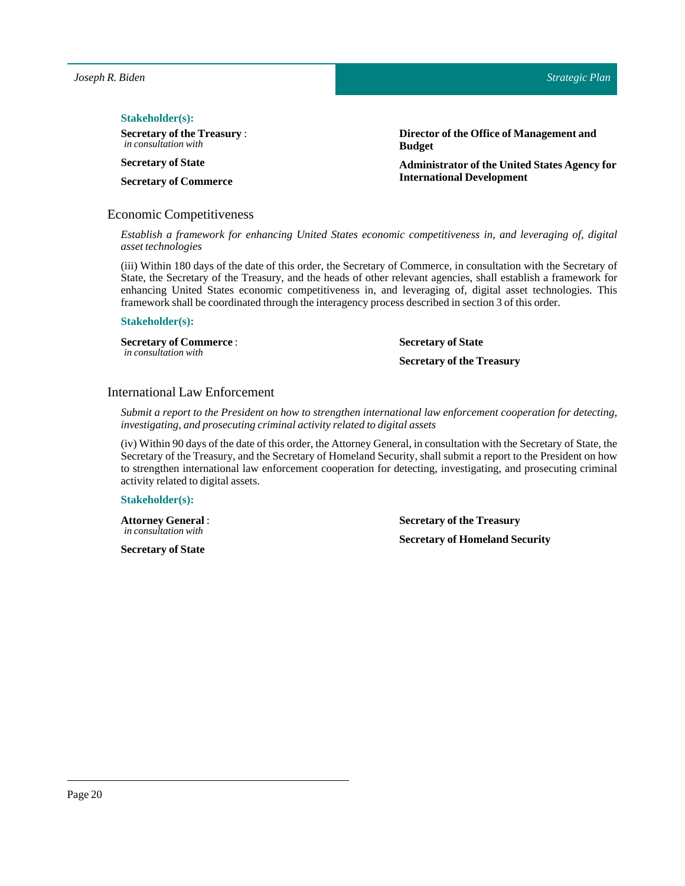#### $Stakeholder(s):$

**Secretary of the Treasury** : *in consultation with*

**Secretary** of State

**Secretary of Commerce**

#### <span id="page-19-0"></span>Economic Competitiveness

**Director of the Office of Management and Budget**

**Administrator of the UnitedStates Agency for International Development**

*Establish a framework for enhancing United States economic competitiveness in, and leveraging of, digital*  $asset technologies$ 

(iii) Within 180 days of the date of this order, the Secretary of Commerce, in consultation with the Secretary of State, the Secretary of the Treasury, and the heads of other relevant agencies, shall establish a framework for enhancing United States economic competitiveness in, and leveraging of, digital asset technologies. This framework shall be coordinated through the interagency process described in section 3 of this order.

#### **Stakeholder(s):**

**Secretary of Commerce** : *in consultation with*

**Secretary** of State

**Secretary of the Treasury**

#### <span id="page-19-1"></span>International Law Enforcement

*Submit a report to the President on how to strengthen international law enforcement cooperation for detecting, investigating, and prosecuting criminal activity related to digital assets*

(iv) Within 90 days of the date of this order, the Attorney General, in consultation with the Secretary of State, the Secretary of the Treasury, and the Secretary of Homeland Security, shall submit a report to the President on how to strengthen international law enforcement cooperation for detecting, investigating, and prosecuting criminal activity related to digital assets.

#### **Stakeholder(s):**

**Attorney General**: *in consultation with*

**Secretary** of State

**Secretary of the Treasury Secretary of Homeland Security**